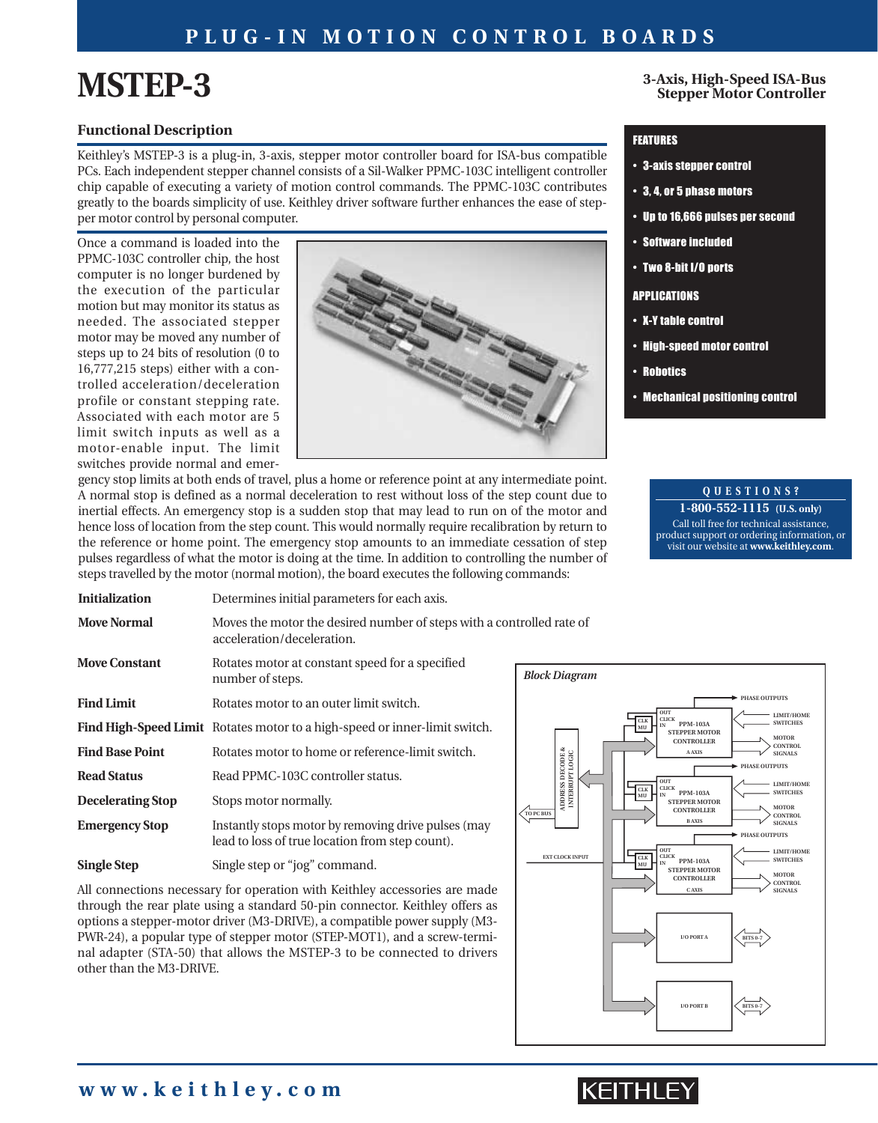# **PLUG-IN MOTION CONTROL BOARDS**

# **MSTEP-3**

### **Functional Description**

Keithley's MSTEP-3 is a plug-in, 3-axis, stepper motor controller board for ISA-bus compatible PCs. Each independent stepper channel consists of a Sil-Walker PPMC-103C intelligent controller chip capable of executing a variety of motion control commands. The PPMC-103C contributes greatly to the boards simplicity of use. Keithley driver software further enhances the ease of stepper motor control by personal computer.

Once a command is loaded into the PPMC-103C controller chip, the host computer is no longer burdened by the execution of the particular motion but may monitor its status as needed. The associated stepper motor may be moved any number of steps up to 24 bits of resolution (0 to 16,777,215 steps) either with a controlled acceleration/deceleration profile or constant stepping rate. Associated with each motor are 5 limit switch inputs as well as a motor-enable input. The limit switches provide normal and emer-



gency stop limits at both ends of travel, plus a home or reference point at any intermediate point. A normal stop is defined as a normal deceleration to rest without loss of the step count due to inertial effects. An emergency stop is a sudden stop that may lead to run on of the motor and hence loss of location from the step count. This would normally require recalibration by return to the reference or home point. The emergency stop amounts to an immediate cessation of step pulses regardless of what the motor is doing at the time. In addition to controlling the number of steps travelled by the motor (normal motion), the board executes the following commands:

**3-Axis, High-Speed ISA-Bus Stepper Motor Controller**

### FEATURES

- 3-axis stepper control
- 3, 4, or 5 phase motors
- Up to 16,666 pulses per second
- Software included
- Two 8-bit I/O ports

#### **APPLICATIONS**

- X-Y table control
- High-speed motor control
- Robotics
- Mechanical positioning control

#### **QUESTIONS?**

**1-800-552-1115 (U.S. only)** Call toll free for technical assistance, product support or ordering information, or visit our website at **www.keithley.com**.

| Initialization           | Determines initial parameters for each axis.                                                           |                     |                            |
|--------------------------|--------------------------------------------------------------------------------------------------------|---------------------|----------------------------|
| <b>Move Normal</b>       | Moves the motor the desired number of steps with a controlled rate of<br>acceleration/deceleration.    |                     |                            |
| <b>Move Constant</b>     | Rotates motor at constant speed for a specified<br>number of steps.                                    | <b>Block Diagra</b> |                            |
| <b>Find Limit</b>        | Rotates motor to an outer limit switch.                                                                |                     |                            |
|                          | Find High-Speed Limit Rotates motor to a high-speed or inner-limit switch.                             |                     |                            |
| <b>Find Base Point</b>   | Rotates motor to home or reference-limit switch.                                                       |                     | LOGIC                      |
| <b>Read Status</b>       | Read PPMC-103C controller status.                                                                      |                     | <b>DECODE&amp;</b>         |
| <b>Decelerating Stop</b> | Stops motor normally.                                                                                  | TO PC BUS           | ADDRESS DEC<br>INTERRUPT I |
| <b>Emergency Stop</b>    | Instantly stops motor by removing drive pulses (may<br>lead to loss of true location from step count). |                     |                            |
| <b>Single Step</b>       | Single step or "jog" command.                                                                          |                     | <b>EXT CLOCK INPUT</b>     |

All connections necessary for operation with Keithley accessories are made through the rear plate using a standard 50-pin connector. Keithley offers as options a stepper-motor driver (M3-DRIVE), a compatible power supply (M3- PWR-24), a popular type of stepper motor (STEP-MOT1), and a screw-terminal adapter (STA-50) that allows the MSTEP-3 to be connected to drivers other than the M3-DRIVE.



## **www.keithley.com**

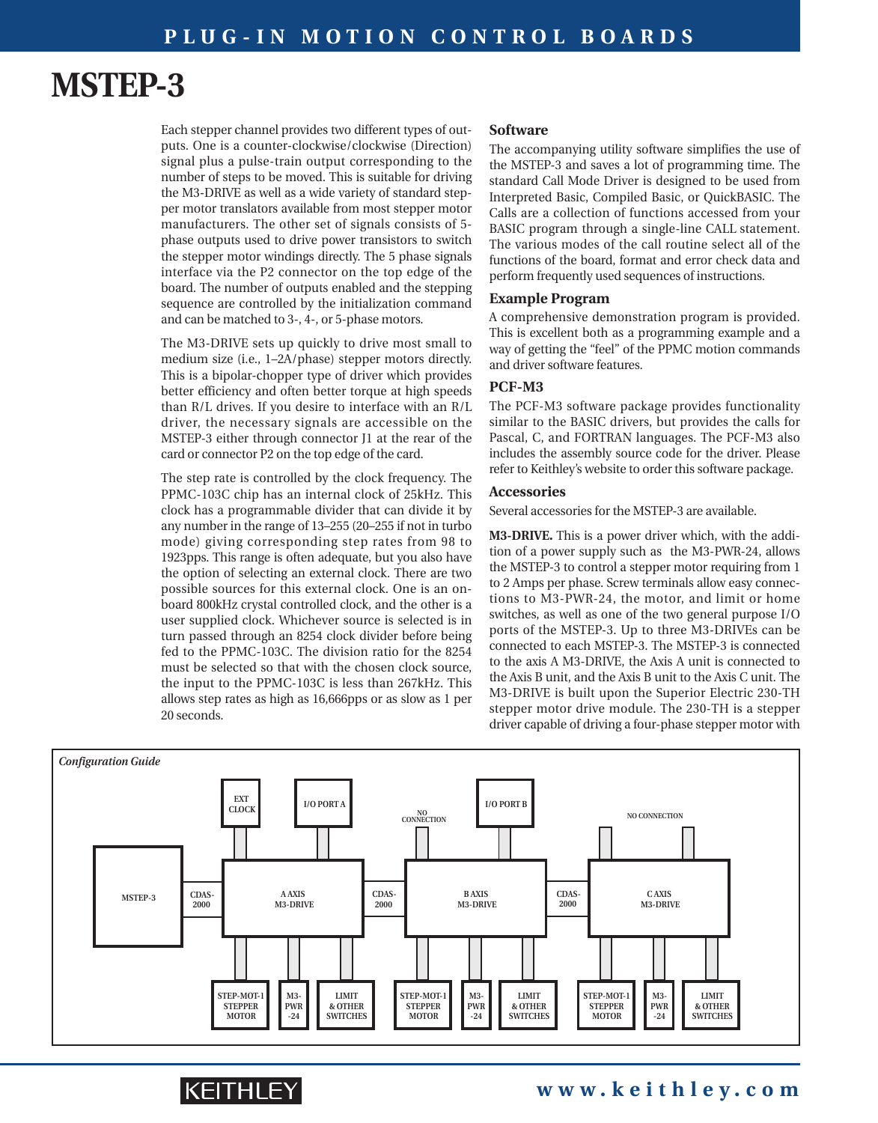# **MSTEP-3**

Each stepper channel provides two different types of outputs. One is a counter-clockwise/clockwise (Direction) signal plus a pulse-train output corresponding to the number of steps to be moved. This is suitable for driving the M3-DRIVE as well as a wide variety of standard stepper motor translators available from most stepper motor manufacturers. The other set of signals consists of 5 phase outputs used to drive power transistors to switch the stepper motor windings directly. The 5 phase signals interface via the P2 connector on the top edge of the board. The number of outputs enabled and the stepping sequence are controlled by the initialization command and can be matched to 3-, 4-, or 5-phase motors.

The M3-DRIVE sets up quickly to drive most small to medium size (i.e., 1–2A/phase) stepper motors directly. This is a bipolar-chopper type of driver which provides better efficiency and often better torque at high speeds than R/L drives. If you desire to interface with an R/L driver, the necessary signals are accessible on the MSTEP-3 either through connector J1 at the rear of the card or connector P2 on the top edge of the card.

The step rate is controlled by the clock frequency. The PPMC-103C chip has an internal clock of 25kHz. This clock has a programmable divider that can divide it by any number in the range of 13–255 (20–255 if not in turbo mode) giving corresponding step rates from 98 to 1923pps. This range is often adequate, but you also have the option of selecting an external clock. There are two possible sources for this external clock. One is an onboard 800kHz crystal controlled clock, and the other is a user supplied clock. Whichever source is selected is in turn passed through an 8254 clock divider before being fed to the PPMC-103C. The division ratio for the 8254 must be selected so that with the chosen clock source, the input to the PPMC-103C is less than 267kHz. This allows step rates as high as 16,666pps or as slow as 1 per 20 seconds.

#### **Software**

The accompanying utility software simplifies the use of the MSTEP-3 and saves a lot of programming time. The standard Call Mode Driver is designed to be used from Interpreted Basic, Compiled Basic, or QuickBASIC. The Calls are a collection of functions accessed from your BASIC program through a single-line CALL statement. The various modes of the call routine select all of the functions of the board, format and error check data and perform frequently used sequences of instructions.

#### **Example Program**

A comprehensive demonstration program is provided. This is excellent both as a programming example and a way of getting the "feel" of the PPMC motion commands and driver software features.

#### **PCF-M3**

The PCF-M3 software package provides functionality similar to the BASIC drivers, but provides the calls for Pascal, C, and FORTRAN languages. The PCF-M3 also includes the assembly source code for the driver. Please refer to Keithley's website to order this software package.

#### **Accessories**

Several accessories for the MSTEP-3 are available.

**M3-DRIVE.** This is a power driver which, with the addition of a power supply such as the M3-PWR-24, allows the MSTEP-3 to control a stepper motor requiring from 1 to 2 Amps per phase. Screw terminals allow easy connections to M3-PWR-24, the motor, and limit or home switches, as well as one of the two general purpose I/O ports of the MSTEP-3. Up to three M3-DRIVEs can be connected to each MSTEP-3. The MSTEP-3 is connected to the axis A M3-DRIVE, the Axis A unit is connected to the Axis B unit, and the Axis B unit to the Axis C unit. The M3-DRIVE is built upon the Superior Electric 230-TH stepper motor drive module. The 230-TH is a stepper driver capable of driving a four-phase stepper motor with